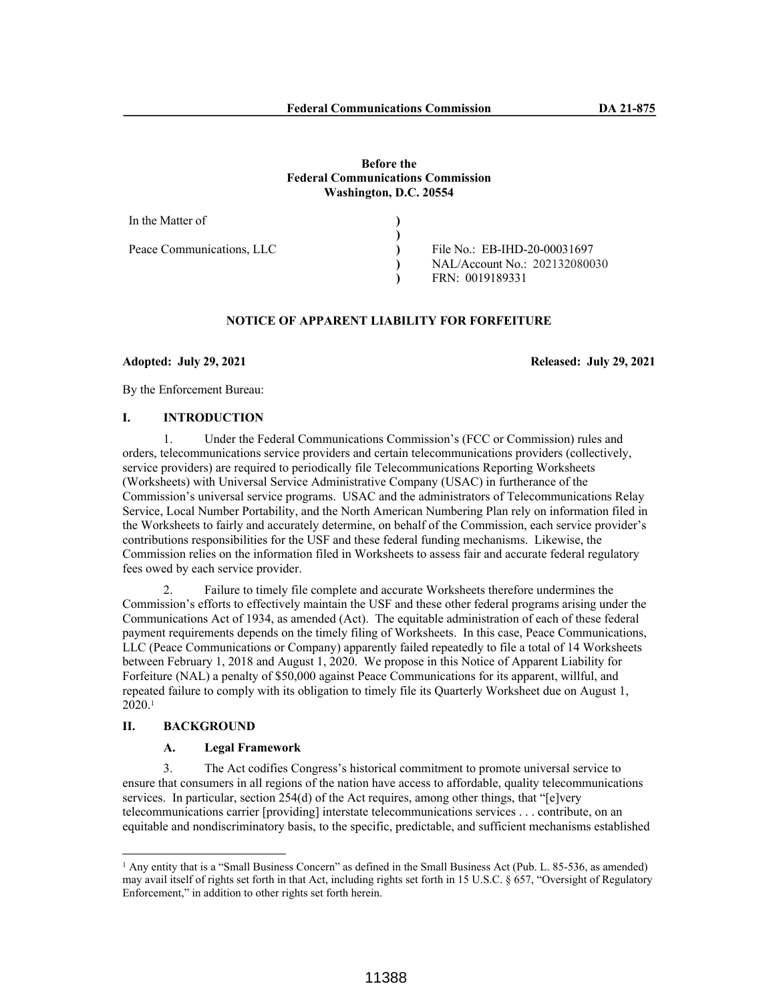### **Before the Federal Communications Commission Washington, D.C. 20554**

| In the Matter of          |                               |
|---------------------------|-------------------------------|
|                           |                               |
| Peace Communications, LLC | File No.: EB-IHD-20-00031697  |
|                           | NAL/Account No.: 202132080030 |
|                           | FRN: 0019189331               |

# **NOTICE OF APPARENT LIABILITY FOR FORFEITURE**

**Adopted: July 29, 2021 Released: July 29, 2021**

By the Enforcement Bureau:

## **I. INTRODUCTION**

1. Under the Federal Communications Commission's (FCC or Commission) rules and orders, telecommunications service providers and certain telecommunications providers (collectively, service providers) are required to periodically file Telecommunications Reporting Worksheets (Worksheets) with Universal Service Administrative Company (USAC) in furtherance of the Commission's universal service programs. USAC and the administrators of Telecommunications Relay Service, Local Number Portability, and the North American Numbering Plan rely on information filed in the Worksheets to fairly and accurately determine, on behalf of the Commission, each service provider's contributions responsibilities for the USF and these federal funding mechanisms. Likewise, the Commission relies on the information filed in Worksheets to assess fair and accurate federal regulatory fees owed by each service provider.

2. Failure to timely file complete and accurate Worksheets therefore undermines the Commission's efforts to effectively maintain the USF and these other federal programs arising under the Communications Act of 1934, as amended (Act). The equitable administration of each of these federal payment requirements depends on the timely filing of Worksheets. In this case, Peace Communications, LLC (Peace Communications or Company) apparently failed repeatedly to file a total of 14 Worksheets between February 1, 2018 and August 1, 2020. We propose in this Notice of Apparent Liability for Forfeiture (NAL) a penalty of \$50,000 against Peace Communications for its apparent, willful, and repeated failure to comply with its obligation to timely file its Quarterly Worksheet due on August 1,  $2020.1$ 

# **II. BACKGROUND**

#### **A. Legal Framework**

3. The Act codifies Congress's historical commitment to promote universal service to ensure that consumers in all regions of the nation have access to affordable, quality telecommunications services. In particular, section 254(d) of the Act requires, among other things, that "[e]very telecommunications carrier [providing] interstate telecommunications services . . . contribute, on an equitable and nondiscriminatory basis, to the specific, predictable, and sufficient mechanisms established

<sup>&</sup>lt;sup>1</sup> Any entity that is a "Small Business Concern" as defined in the Small Business Act (Pub. L. 85-536, as amended) may avail itself of rights set forth in that Act, including rights set forth in 15 U.S.C. § 657, "Oversight of Regulatory Enforcement," in addition to other rights set forth herein.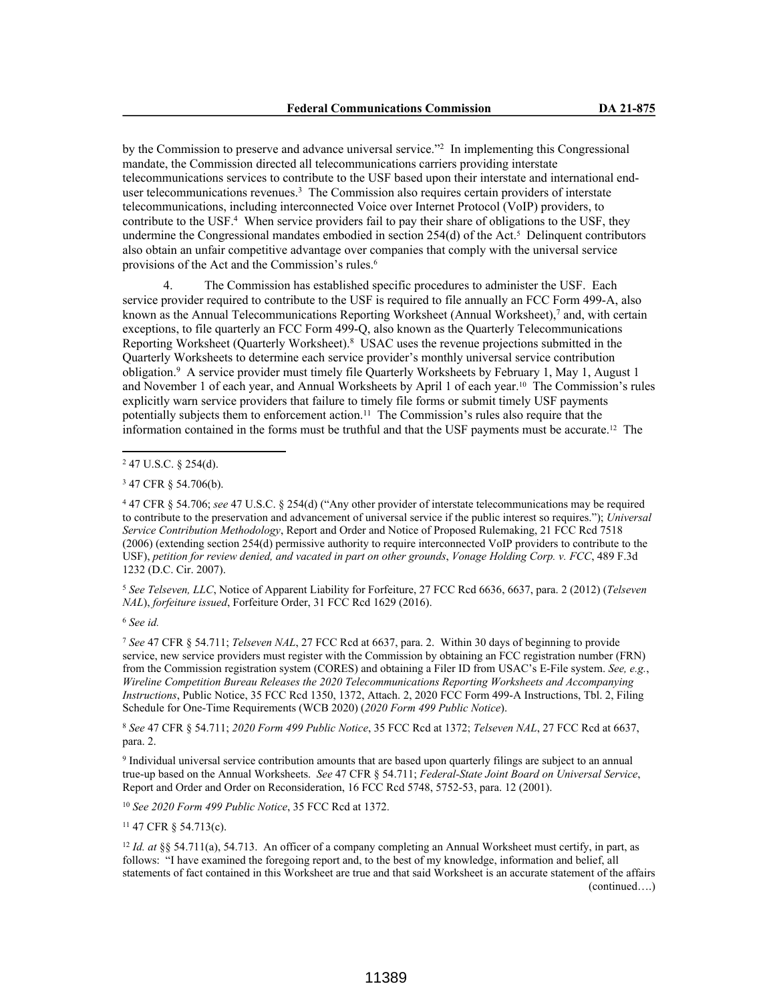by the Commission to preserve and advance universal service."<sup>2</sup> In implementing this Congressional mandate, the Commission directed all telecommunications carriers providing interstate telecommunications services to contribute to the USF based upon their interstate and international enduser telecommunications revenues.<sup>3</sup> The Commission also requires certain providers of interstate telecommunications, including interconnected Voice over Internet Protocol (VoIP) providers, to contribute to the USF.<sup>4</sup> When service providers fail to pay their share of obligations to the USF, they undermine the Congressional mandates embodied in section  $254(d)$  of the Act.<sup>5</sup> Delinquent contributors also obtain an unfair competitive advantage over companies that comply with the universal service provisions of the Act and the Commission's rules.<sup>6</sup>

The Commission has established specific procedures to administer the USF. Each service provider required to contribute to the USF is required to file annually an FCC Form 499-A, also known as the Annual Telecommunications Reporting Worksheet (Annual Worksheet),<sup>7</sup> and, with certain exceptions, to file quarterly an FCC Form 499-Q, also known as the Quarterly Telecommunications Reporting Worksheet (Quarterly Worksheet).<sup>8</sup> USAC uses the revenue projections submitted in the Quarterly Worksheets to determine each service provider's monthly universal service contribution obligation.<sup>9</sup> A service provider must timely file Quarterly Worksheets by February 1, May 1, August 1 and November 1 of each year, and Annual Worksheets by April 1 of each year.10 The Commission's rules explicitly warn service providers that failure to timely file forms or submit timely USF payments potentially subjects them to enforcement action.<sup>11</sup> The Commission's rules also require that the information contained in the forms must be truthful and that the USF payments must be accurate.12 The

<sup>5</sup> *See Telseven, LLC*, Notice of Apparent Liability for Forfeiture, 27 FCC Rcd 6636, 6637, para. 2 (2012) (*Telseven NAL*), *forfeiture issued*, Forfeiture Order, 31 FCC Rcd 1629 (2016).

<sup>6</sup> *See id.*

<sup>7</sup> *See* 47 CFR § 54.711; *Telseven NAL*, 27 FCC Rcd at 6637, para. 2. Within 30 days of beginning to provide service, new service providers must register with the Commission by obtaining an FCC registration number (FRN) from the Commission registration system (CORES) and obtaining a Filer ID from USAC's E-File system. *See, e.g.*, *Wireline Competition Bureau Releases the 2020 Telecommunications Reporting Worksheets and Accompanying Instructions*, Public Notice, 35 FCC Rcd 1350, 1372, Attach. 2, 2020 FCC Form 499-A Instructions, Tbl. 2, Filing Schedule for One-Time Requirements (WCB 2020) (*2020 Form 499 Public Notice*).

<sup>8</sup> *See* 47 CFR § 54.711; *2020 Form 499 Public Notice*, 35 FCC Rcd at 1372; *Telseven NAL*, 27 FCC Rcd at 6637, para. 2.

9 Individual universal service contribution amounts that are based upon quarterly filings are subject to an annual true-up based on the Annual Worksheets. *See* 47 CFR § 54.711; *Federal-State Joint Board on Universal Service*, Report and Order and Order on Reconsideration, 16 FCC Rcd 5748, 5752-53, para. 12 (2001).

<sup>10</sup> *See 2020 Form 499 Public Notice*, 35 FCC Rcd at 1372.

<sup>11</sup> 47 CFR § 54.713(c).

<sup>12</sup> *Id. at* §§ 54.711(a), 54.713. An officer of a company completing an Annual Worksheet must certify, in part, as follows: "I have examined the foregoing report and, to the best of my knowledge, information and belief, all statements of fact contained in this Worksheet are true and that said Worksheet is an accurate statement of the affairs (continued….)

<sup>2</sup> 47 U.S.C. § 254(d).

<sup>3</sup> 47 CFR § 54.706(b).

<sup>4</sup> 47 CFR § 54.706; *see* 47 U.S.C. § 254(d) ("Any other provider of interstate telecommunications may be required to contribute to the preservation and advancement of universal service if the public interest so requires."); *Universal Service Contribution Methodology*, Report and Order and Notice of Proposed Rulemaking, 21 FCC Rcd 7518 (2006) (extending section 254(d) permissive authority to require interconnected VoIP providers to contribute to the USF), *petition for review denied, and vacated in part on other grounds*, *Vonage Holding Corp. v. FCC*, 489 F.3d 1232 (D.C. Cir. 2007).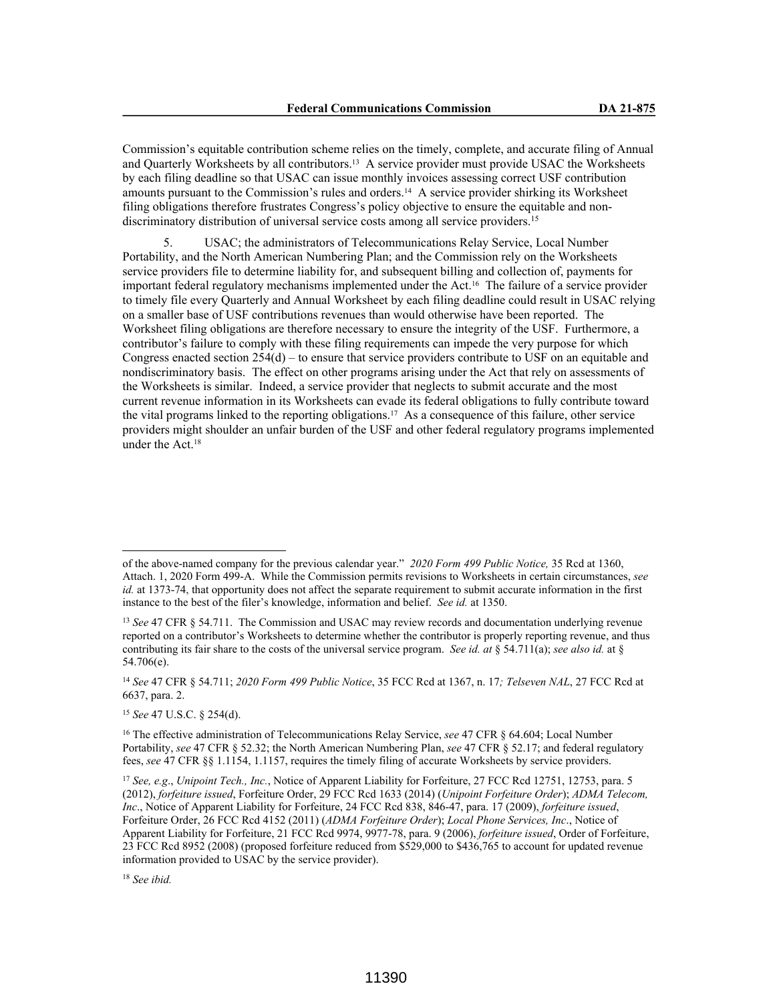Commission's equitable contribution scheme relies on the timely, complete, and accurate filing of Annual and Quarterly Worksheets by all contributors.13 A service provider must provide USAC the Worksheets by each filing deadline so that USAC can issue monthly invoices assessing correct USF contribution amounts pursuant to the Commission's rules and orders.14 A service provider shirking its Worksheet filing obligations therefore frustrates Congress's policy objective to ensure the equitable and nondiscriminatory distribution of universal service costs among all service providers.<sup>15</sup>

5. USAC; the administrators of Telecommunications Relay Service, Local Number Portability, and the North American Numbering Plan; and the Commission rely on the Worksheets service providers file to determine liability for, and subsequent billing and collection of, payments for important federal regulatory mechanisms implemented under the Act.16 The failure of a service provider to timely file every Quarterly and Annual Worksheet by each filing deadline could result in USAC relying on a smaller base of USF contributions revenues than would otherwise have been reported. The Worksheet filing obligations are therefore necessary to ensure the integrity of the USF. Furthermore, a contributor's failure to comply with these filing requirements can impede the very purpose for which Congress enacted section 254(d) – to ensure that service providers contribute to USF on an equitable and nondiscriminatory basis. The effect on other programs arising under the Act that rely on assessments of the Worksheets is similar. Indeed, a service provider that neglects to submit accurate and the most current revenue information in its Worksheets can evade its federal obligations to fully contribute toward the vital programs linked to the reporting obligations.17 As a consequence of this failure, other service providers might shoulder an unfair burden of the USF and other federal regulatory programs implemented under the Act.<sup>18</sup>

<sup>15</sup> *See* 47 U.S.C. § 254(d).

<sup>18</sup> *See ibid.*

of the above-named company for the previous calendar year." *2020 Form 499 Public Notice,* 35 Rcd at 1360, Attach. 1, 2020 Form 499-A. While the Commission permits revisions to Worksheets in certain circumstances, *see id.* at 1373-74, that opportunity does not affect the separate requirement to submit accurate information in the first instance to the best of the filer's knowledge, information and belief. *See id.* at 1350.

<sup>&</sup>lt;sup>13</sup> *See* 47 CFR § 54.711. The Commission and USAC may review records and documentation underlying revenue reported on a contributor's Worksheets to determine whether the contributor is properly reporting revenue, and thus contributing its fair share to the costs of the universal service program. *See id. at* § 54.711(a); *see also id.* at § 54.706(e).

<sup>14</sup> *See* 47 CFR § 54.711; *2020 Form 499 Public Notice*, 35 FCC Rcd at 1367, n. 17*; Telseven NAL*, 27 FCC Rcd at 6637, para. 2.

<sup>16</sup> The effective administration of Telecommunications Relay Service, *see* 47 CFR § 64.604; Local Number Portability, *see* 47 CFR § 52.32; the North American Numbering Plan, *see* 47 CFR § 52.17; and federal regulatory fees, *see* 47 CFR §§ 1.1154, 1.1157, requires the timely filing of accurate Worksheets by service providers.

<sup>17</sup> *See, e.g*., *Unipoint Tech., Inc.*, Notice of Apparent Liability for Forfeiture, 27 FCC Rcd 12751, 12753, para. 5 (2012), *forfeiture issued*, Forfeiture Order, 29 FCC Rcd 1633 (2014) (*Unipoint Forfeiture Order*); *ADMA Telecom, Inc*., Notice of Apparent Liability for Forfeiture, 24 FCC Rcd 838, 846-47, para. 17 (2009), *forfeiture issued*, Forfeiture Order, 26 FCC Rcd 4152 (2011) (*ADMA Forfeiture Order*); *Local Phone Services, Inc*., Notice of Apparent Liability for Forfeiture, 21 FCC Rcd 9974, 9977-78, para. 9 (2006), *forfeiture issued*, Order of Forfeiture, 23 FCC Rcd 8952 (2008) (proposed forfeiture reduced from \$529,000 to \$436,765 to account for updated revenue information provided to USAC by the service provider).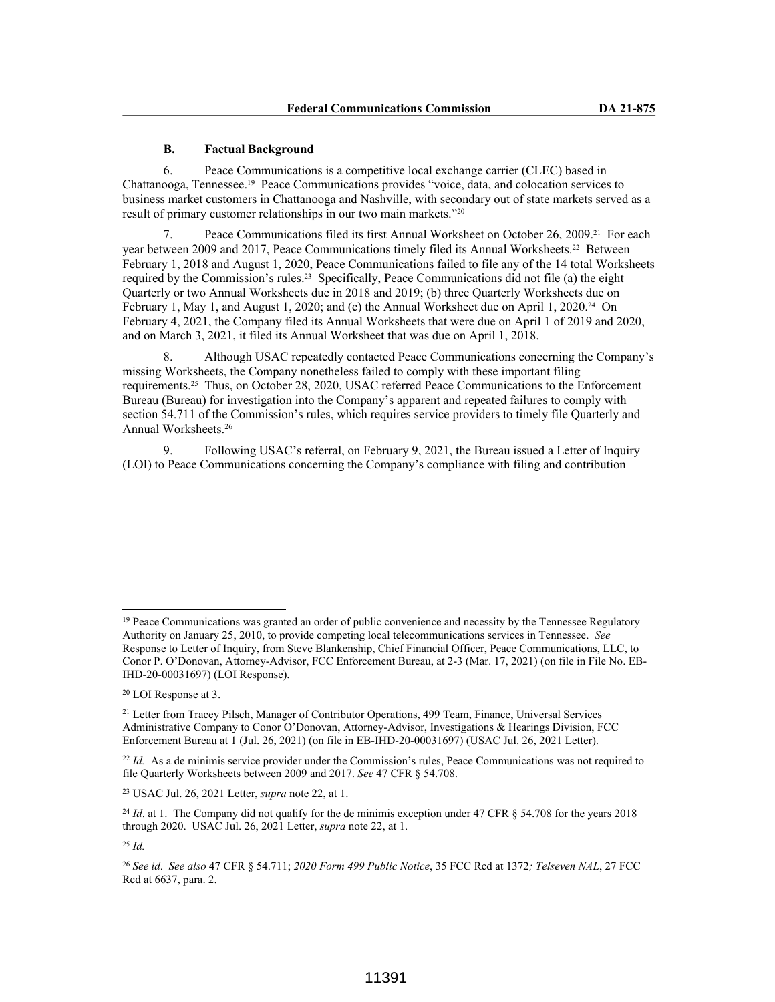### **B. Factual Background**

6. Peace Communications is a competitive local exchange carrier (CLEC) based in Chattanooga, Tennessee.19 Peace Communications provides "voice, data, and colocation services to business market customers in Chattanooga and Nashville, with secondary out of state markets served as a result of primary customer relationships in our two main markets."20

7. Peace Communications filed its first Annual Worksheet on October 26, 2009.21 For each year between 2009 and 2017, Peace Communications timely filed its Annual Worksheets.<sup>22</sup> Between February 1, 2018 and August 1, 2020, Peace Communications failed to file any of the 14 total Worksheets required by the Commission's rules.23 Specifically, Peace Communications did not file (a) the eight Quarterly or two Annual Worksheets due in 2018 and 2019; (b) three Quarterly Worksheets due on February 1, May 1, and August 1, 2020; and (c) the Annual Worksheet due on April 1, 2020.<sup>24</sup> On February 4, 2021, the Company filed its Annual Worksheets that were due on April 1 of 2019 and 2020, and on March 3, 2021, it filed its Annual Worksheet that was due on April 1, 2018.

8. Although USAC repeatedly contacted Peace Communications concerning the Company's missing Worksheets, the Company nonetheless failed to comply with these important filing requirements.25 Thus, on October 28, 2020, USAC referred Peace Communications to the Enforcement Bureau (Bureau) for investigation into the Company's apparent and repeated failures to comply with section 54.711 of the Commission's rules, which requires service providers to timely file Quarterly and Annual Worksheets.<sup>26</sup>

9. Following USAC's referral, on February 9, 2021, the Bureau issued a Letter of Inquiry (LOI) to Peace Communications concerning the Company's compliance with filing and contribution

<sup>&</sup>lt;sup>19</sup> Peace Communications was granted an order of public convenience and necessity by the Tennessee Regulatory Authority on January 25, 2010, to provide competing local telecommunications services in Tennessee. *See*  Response to Letter of Inquiry, from Steve Blankenship, Chief Financial Officer, Peace Communications, LLC, to Conor P. O'Donovan, Attorney-Advisor, FCC Enforcement Bureau, at 2-3 (Mar. 17, 2021) (on file in File No. EB-IHD-20-00031697) (LOI Response).

<sup>20</sup> LOI Response at 3.

<sup>&</sup>lt;sup>21</sup> Letter from Tracey Pilsch, Manager of Contributor Operations, 499 Team, Finance, Universal Services Administrative Company to Conor O'Donovan, Attorney-Advisor, Investigations & Hearings Division, FCC Enforcement Bureau at 1 (Jul. 26, 2021) (on file in EB-IHD-20-00031697) (USAC Jul. 26, 2021 Letter).

<sup>&</sup>lt;sup>22</sup> *Id.* As a de minimis service provider under the Commission's rules, Peace Communications was not required to file Quarterly Worksheets between 2009 and 2017. *See* 47 CFR § 54.708.

<sup>23</sup> USAC Jul. 26, 2021 Letter, *supra* note 22, at 1.

<sup>&</sup>lt;sup>24</sup> *Id.* at 1. The Company did not qualify for the de minimis exception under 47 CFR § 54.708 for the years 2018 through 2020. USAC Jul. 26, 2021 Letter, *supra* note 22, at 1.

<sup>25</sup> *Id.*

<sup>26</sup> *See id*. *See also* 47 CFR § 54.711; *2020 Form 499 Public Notice*, 35 FCC Rcd at 1372*; Telseven NAL*, 27 FCC Rcd at 6637, para. 2.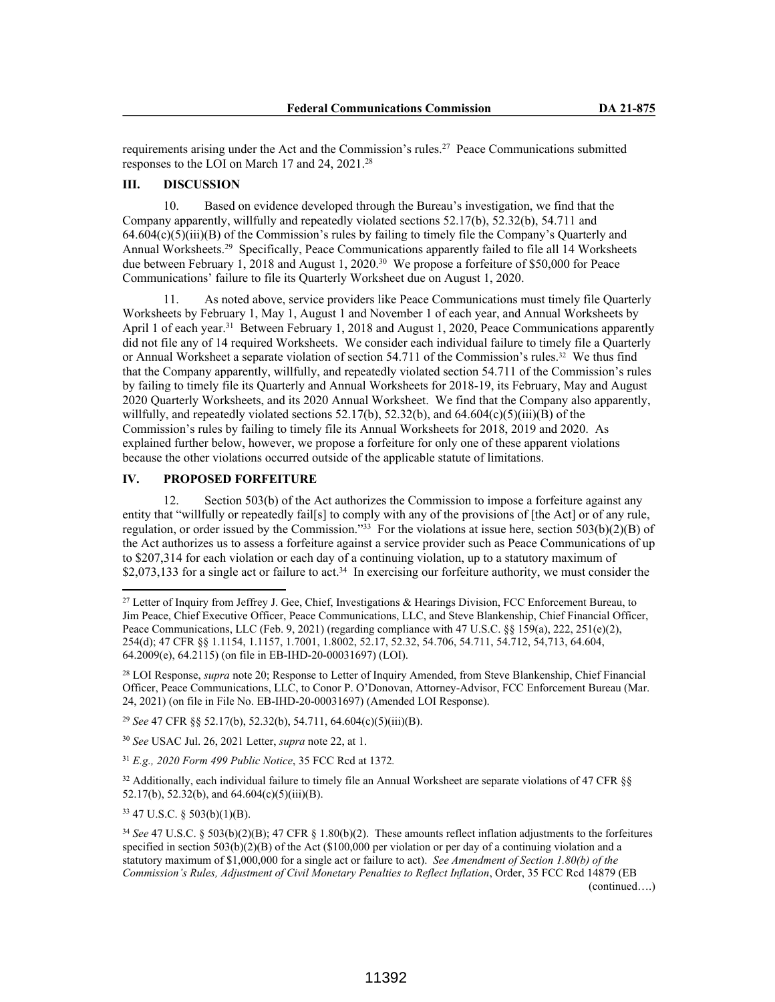requirements arising under the Act and the Commission's rules.<sup>27</sup> Peace Communications submitted responses to the LOI on March 17 and 24, 2021.<sup>28</sup>

# **III. DISCUSSION**

10. Based on evidence developed through the Bureau's investigation, we find that the Company apparently, willfully and repeatedly violated sections 52.17(b), 52.32(b), 54.711 and  $64.604(c)(5)(iii)(B)$  of the Commission's rules by failing to timely file the Company's Quarterly and Annual Worksheets.<sup>29</sup> Specifically, Peace Communications apparently failed to file all 14 Worksheets due between February 1, 2018 and August 1, 2020.<sup>30</sup> We propose a forfeiture of \$50,000 for Peace Communications' failure to file its Quarterly Worksheet due on August 1, 2020.

11. As noted above, service providers like Peace Communications must timely file Quarterly Worksheets by February 1, May 1, August 1 and November 1 of each year, and Annual Worksheets by April 1 of each year.<sup>31</sup> Between February 1, 2018 and August 1, 2020, Peace Communications apparently did not file any of 14 required Worksheets. We consider each individual failure to timely file a Quarterly or Annual Worksheet a separate violation of section 54.711 of the Commission's rules.32 We thus find that the Company apparently, willfully, and repeatedly violated section 54.711 of the Commission's rules by failing to timely file its Quarterly and Annual Worksheets for 2018-19, its February, May and August 2020 Quarterly Worksheets, and its 2020 Annual Worksheet. We find that the Company also apparently, willfully, and repeatedly violated sections  $52.17(b)$ ,  $52.32(b)$ , and  $64.604(c)(5)(iii)(B)$  of the Commission's rules by failing to timely file its Annual Worksheets for 2018, 2019 and 2020. As explained further below, however, we propose a forfeiture for only one of these apparent violations because the other violations occurred outside of the applicable statute of limitations.

## **IV. PROPOSED FORFEITURE**

12. Section 503(b) of the Act authorizes the Commission to impose a forfeiture against any entity that "willfully or repeatedly fail[s] to comply with any of the provisions of [the Act] or of any rule, regulation, or order issued by the Commission."<sup>33</sup> For the violations at issue here, section 503(b)(2)(B) of the Act authorizes us to assess a forfeiture against a service provider such as Peace Communications of up to \$207,314 for each violation or each day of a continuing violation, up to a statutory maximum of \$2,073,133 for a single act or failure to act.<sup>34</sup> In exercising our forfeiture authority, we must consider the

<sup>29</sup> *See* 47 CFR §§ 52.17(b), 52.32(b), 54.711, 64.604(c)(5)(iii)(B).

<sup>30</sup> *See* USAC Jul. 26, 2021 Letter, *supra* note 22, at 1.

<sup>31</sup> *E.g., 2020 Form 499 Public Notice*, 35 FCC Rcd at 1372*.*

 $32$  Additionally, each individual failure to timely file an Annual Worksheet are separate violations of 47 CFR §§ 52.17(b), 52.32(b), and 64.604(c)(5)(iii)(B).

<sup>33</sup> 47 U.S.C. § 503(b)(1)(B).

<sup>&</sup>lt;sup>27</sup> Letter of Inquiry from Jeffrey J. Gee, Chief, Investigations & Hearings Division, FCC Enforcement Bureau, to Jim Peace, Chief Executive Officer, Peace Communications, LLC, and Steve Blankenship, Chief Financial Officer, Peace Communications, LLC (Feb. 9, 2021) (regarding compliance with 47 U.S.C. §§ 159(a), 222, 251(e)(2), 254(d); 47 CFR §§ 1.1154, 1.1157, 1.7001, 1.8002, 52.17, 52.32, 54.706, 54.711, 54.712, 54,713, 64.604, 64.2009(e), 64.2115) (on file in EB-IHD-20-00031697) (LOI).

<sup>28</sup> LOI Response, *supra* note 20; Response to Letter of Inquiry Amended, from Steve Blankenship, Chief Financial Officer, Peace Communications, LLC, to Conor P. O'Donovan, Attorney-Advisor, FCC Enforcement Bureau (Mar. 24, 2021) (on file in File No. EB-IHD-20-00031697) (Amended LOI Response).

<sup>34</sup> *See* 47 U.S.C. § 503(b)(2)(B); 47 CFR § 1.80(b)(2). These amounts reflect inflation adjustments to the forfeitures specified in section 503(b)(2)(B) of the Act (\$100,000 per violation or per day of a continuing violation and a statutory maximum of \$1,000,000 for a single act or failure to act). *See Amendment of Section 1.80(b) of the Commission's Rules, Adjustment of Civil Monetary Penalties to Reflect Inflation*, Order, 35 FCC Rcd 14879 (EB (continued….)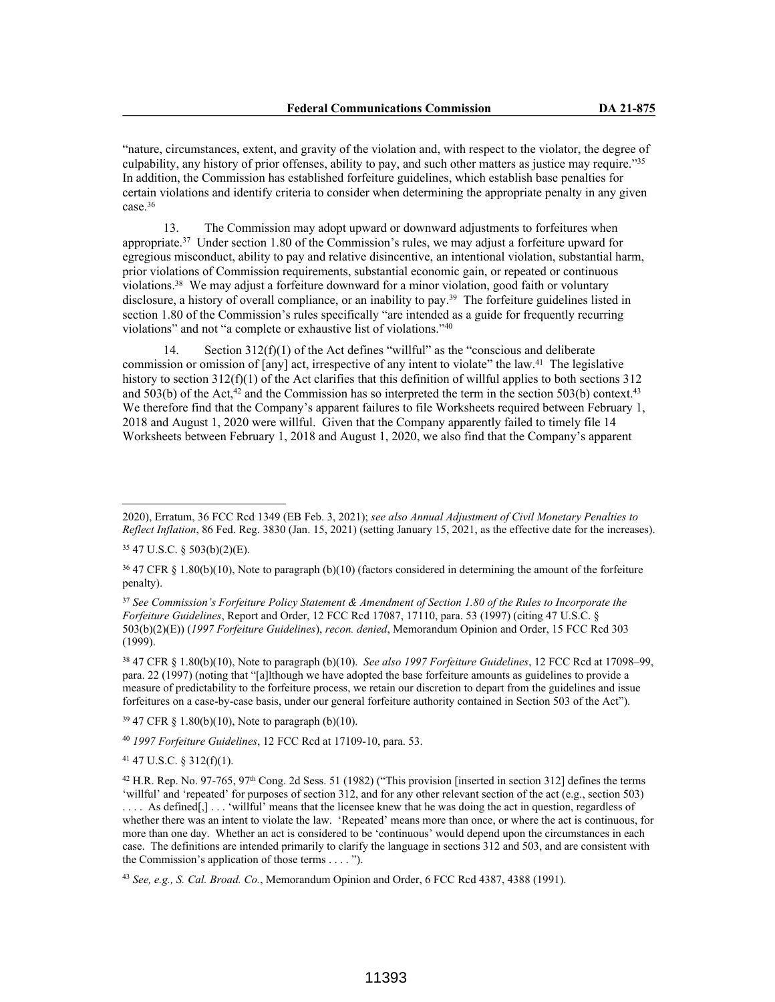"nature, circumstances, extent, and gravity of the violation and, with respect to the violator, the degree of culpability, any history of prior offenses, ability to pay, and such other matters as justice may require."<sup>35</sup> In addition, the Commission has established forfeiture guidelines, which establish base penalties for certain violations and identify criteria to consider when determining the appropriate penalty in any given case. $36$ 

13. The Commission may adopt upward or downward adjustments to forfeitures when appropriate.<sup>37</sup> Under section 1.80 of the Commission's rules, we may adjust a forfeiture upward for egregious misconduct, ability to pay and relative disincentive, an intentional violation, substantial harm, prior violations of Commission requirements, substantial economic gain, or repeated or continuous violations.<sup>38</sup> We may adjust a forfeiture downward for a minor violation, good faith or voluntary disclosure, a history of overall compliance, or an inability to pay.<sup>39</sup> The forfeiture guidelines listed in section 1.80 of the Commission's rules specifically "are intended as a guide for frequently recurring violations" and not "a complete or exhaustive list of violations."<sup>40</sup>

14. Section 312(f)(1) of the Act defines "willful" as the "conscious and deliberate commission or omission of [any] act, irrespective of any intent to violate" the law.<sup>41</sup> The legislative history to section 312(f)(1) of the Act clarifies that this definition of willful applies to both sections 312 and 503(b) of the Act,<sup>42</sup> and the Commission has so interpreted the term in the section 503(b) context.<sup>43</sup> We therefore find that the Company's apparent failures to file Worksheets required between February 1, 2018 and August 1, 2020 were willful. Given that the Company apparently failed to timely file 14 Worksheets between February 1, 2018 and August 1, 2020, we also find that the Company's apparent

<sup>38</sup> 47 CFR § 1.80(b)(10), Note to paragraph (b)(10). *See also 1997 Forfeiture Guidelines*, 12 FCC Rcd at 17098–99, para. 22 (1997) (noting that "[a]lthough we have adopted the base forfeiture amounts as guidelines to provide a measure of predictability to the forfeiture process, we retain our discretion to depart from the guidelines and issue forfeitures on a case-by-case basis, under our general forfeiture authority contained in Section 503 of the Act").

<sup>39</sup> 47 CFR § 1.80(b)(10), Note to paragraph (b)(10).

<sup>40</sup> *1997 Forfeiture Guidelines*, 12 FCC Rcd at 17109-10, para. 53.

<sup>41</sup> 47 U.S.C. § 312(f)(1).

<sup>43</sup> *See, e.g., S. Cal. Broad. Co.*, Memorandum Opinion and Order, 6 FCC Rcd 4387, 4388 (1991).

<sup>2020),</sup> Erratum, 36 FCC Rcd 1349 (EB Feb. 3, 2021); *see also Annual Adjustment of Civil Monetary Penalties to Reflect Inflation*, 86 Fed. Reg. 3830 (Jan. 15, 2021) (setting January 15, 2021, as the effective date for the increases).

<sup>35</sup> 47 U.S.C. § 503(b)(2)(E).

<sup>36</sup> 47 CFR § 1.80(b)(10), Note to paragraph (b)(10) (factors considered in determining the amount of the forfeiture penalty).

<sup>37</sup> *See Commission's Forfeiture Policy Statement & Amendment of Section 1.80 of the Rules to Incorporate the Forfeiture Guidelines*, Report and Order, 12 FCC Rcd 17087, 17110, para. 53 (1997) (citing 47 U.S.C. § 503(b)(2)(E)) (*1997 Forfeiture Guidelines*), *recon. denied*, Memorandum Opinion and Order, 15 FCC Rcd 303 (1999).

<sup>&</sup>lt;sup>42</sup> H.R. Rep. No. 97-765, 97<sup>th</sup> Cong. 2d Sess. 51 (1982) ("This provision [inserted in section 312] defines the terms 'willful' and 'repeated' for purposes of section 312, and for any other relevant section of the act (e.g., section 503) .... As defined[,] ... 'willful' means that the licensee knew that he was doing the act in question, regardless of whether there was an intent to violate the law. 'Repeated' means more than once, or where the act is continuous, for more than one day. Whether an act is considered to be 'continuous' would depend upon the circumstances in each case. The definitions are intended primarily to clarify the language in sections 312 and 503, and are consistent with the Commission's application of those terms . . . . ").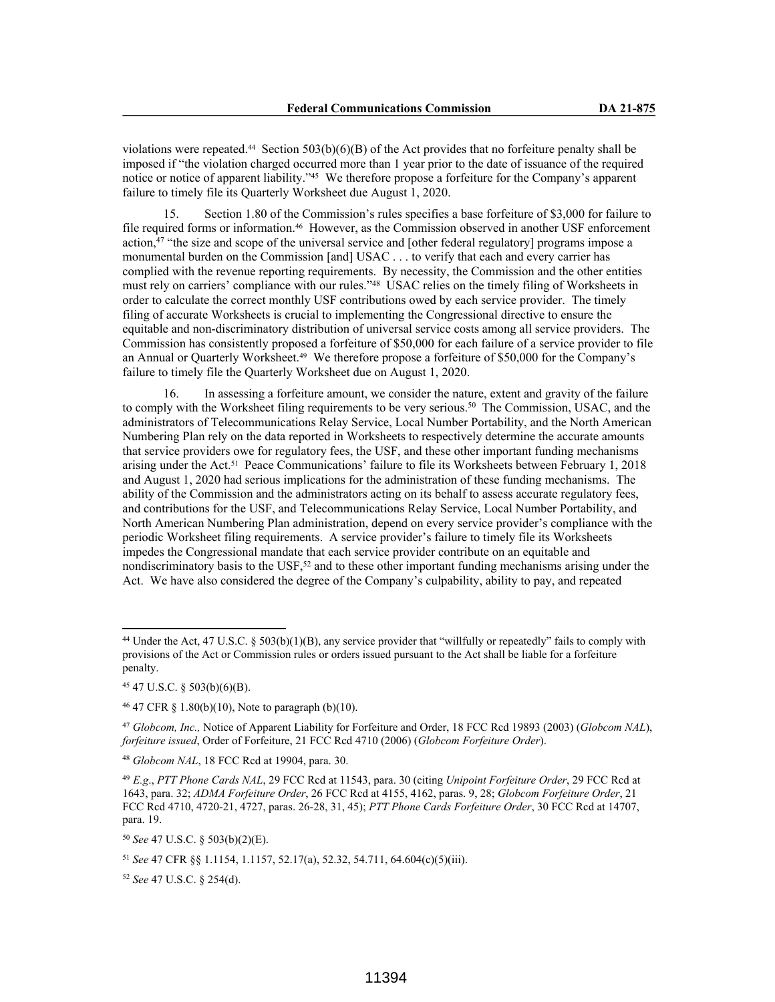violations were repeated.<sup>44</sup> Section 503(b)(6)(B) of the Act provides that no forfeiture penalty shall be imposed if "the violation charged occurred more than 1 year prior to the date of issuance of the required notice or notice of apparent liability."<sup>45</sup> We therefore propose a forfeiture for the Company's apparent failure to timely file its Quarterly Worksheet due August 1, 2020.

15. Section 1.80 of the Commission's rules specifies a base forfeiture of \$3,000 for failure to file required forms or information.46 However, as the Commission observed in another USF enforcement action,<sup>47</sup> "the size and scope of the universal service and [other federal regulatory] programs impose a monumental burden on the Commission [and] USAC . . . to verify that each and every carrier has complied with the revenue reporting requirements. By necessity, the Commission and the other entities must rely on carriers' compliance with our rules."<sup>48</sup> USAC relies on the timely filing of Worksheets in order to calculate the correct monthly USF contributions owed by each service provider. The timely filing of accurate Worksheets is crucial to implementing the Congressional directive to ensure the equitable and non-discriminatory distribution of universal service costs among all service providers. The Commission has consistently proposed a forfeiture of \$50,000 for each failure of a service provider to file an Annual or Quarterly Worksheet.49 We therefore propose a forfeiture of \$50,000 for the Company's failure to timely file the Quarterly Worksheet due on August 1, 2020.

16. In assessing a forfeiture amount, we consider the nature, extent and gravity of the failure to comply with the Worksheet filing requirements to be very serious.<sup>50</sup> The Commission, USAC, and the administrators of Telecommunications Relay Service, Local Number Portability, and the North American Numbering Plan rely on the data reported in Worksheets to respectively determine the accurate amounts that service providers owe for regulatory fees, the USF, and these other important funding mechanisms arising under the Act.<sup>51</sup> Peace Communications' failure to file its Worksheets between February 1, 2018 and August 1, 2020 had serious implications for the administration of these funding mechanisms. The ability of the Commission and the administrators acting on its behalf to assess accurate regulatory fees, and contributions for the USF, and Telecommunications Relay Service, Local Number Portability, and North American Numbering Plan administration, depend on every service provider's compliance with the periodic Worksheet filing requirements. A service provider's failure to timely file its Worksheets impedes the Congressional mandate that each service provider contribute on an equitable and nondiscriminatory basis to the USF,<sup>52</sup> and to these other important funding mechanisms arising under the Act. We have also considered the degree of the Company's culpability, ability to pay, and repeated

<sup>&</sup>lt;sup>44</sup> Under the Act, 47 U.S.C.  $\S 503(b)(1)(B)$ , any service provider that "willfully or repeatedly" fails to comply with provisions of the Act or Commission rules or orders issued pursuant to the Act shall be liable for a forfeiture penalty.

<sup>45</sup> 47 U.S.C. § 503(b)(6)(B).

<sup>46</sup> 47 CFR § 1.80(b)(10), Note to paragraph (b)(10).

<sup>47</sup> *Globcom, Inc.,* Notice of Apparent Liability for Forfeiture and Order, 18 FCC Rcd 19893 (2003) (*Globcom NAL*), *forfeiture issued*, Order of Forfeiture, 21 FCC Rcd 4710 (2006) (*Globcom Forfeiture Order*).

<sup>48</sup> *Globcom NAL*, 18 FCC Rcd at 19904, para. 30.

<sup>49</sup> *E.g*., *PTT Phone Cards NAL*, 29 FCC Rcd at 11543, para. 30 (citing *Unipoint Forfeiture Order*, 29 FCC Rcd at 1643, para. 32; *ADMA Forfeiture Order*, 26 FCC Rcd at 4155, 4162, paras. 9, 28; *Globcom Forfeiture Order*, 21 FCC Rcd 4710, 4720-21, 4727, paras. 26-28, 31, 45); *PTT Phone Cards Forfeiture Order*, 30 FCC Rcd at 14707, para. 19.

<sup>50</sup> *See* 47 U.S.C. § 503(b)(2)(E).

<sup>51</sup> *See* 47 CFR §§ 1.1154, 1.1157, 52.17(a), 52.32, 54.711, 64.604(c)(5)(iii).

<sup>52</sup> *See* 47 U.S.C. § 254(d).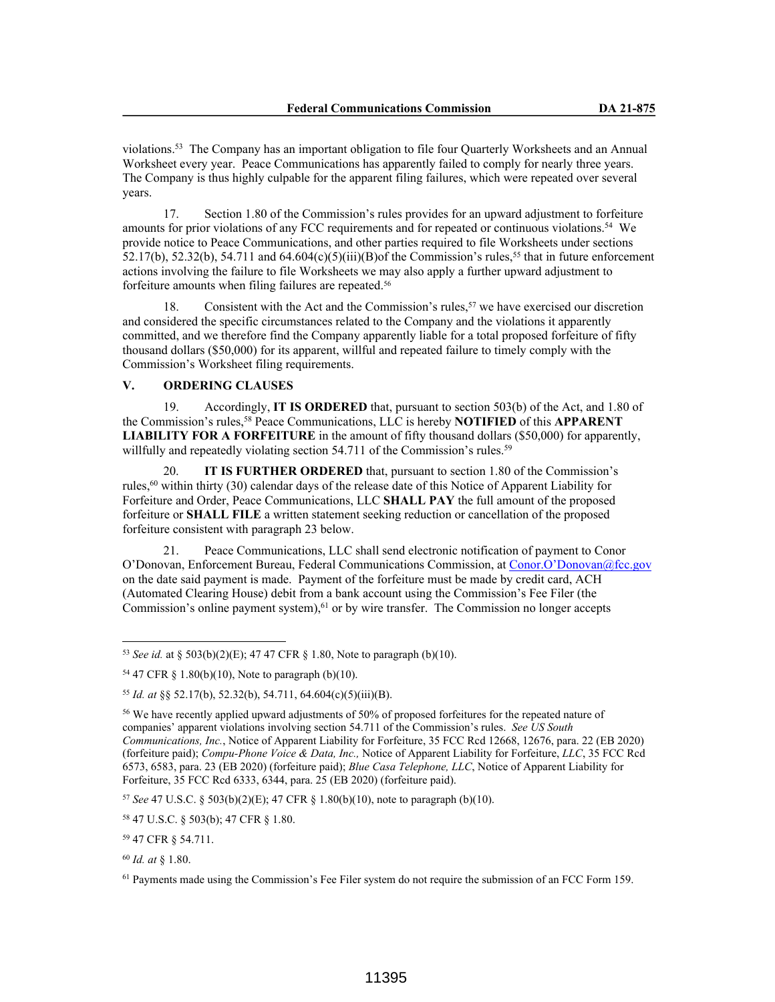violations.<sup>53</sup> The Company has an important obligation to file four Quarterly Worksheets and an Annual Worksheet every year. Peace Communications has apparently failed to comply for nearly three years. The Company is thus highly culpable for the apparent filing failures, which were repeated over several years.

17. Section 1.80 of the Commission's rules provides for an upward adjustment to forfeiture amounts for prior violations of any FCC requirements and for repeated or continuous violations.<sup>54</sup> We provide notice to Peace Communications, and other parties required to file Worksheets under sections 52.17(b), 52.32(b), 54.711 and 64.604(c)(5)(iii)(B)of the Commission's rules,<sup>55</sup> that in future enforcement actions involving the failure to file Worksheets we may also apply a further upward adjustment to forfeiture amounts when filing failures are repeated.<sup>56</sup>

18. Consistent with the Act and the Commission's rules,<sup>57</sup> we have exercised our discretion and considered the specific circumstances related to the Company and the violations it apparently committed, and we therefore find the Company apparently liable for a total proposed forfeiture of fifty thousand dollars (\$50,000) for its apparent, willful and repeated failure to timely comply with the Commission's Worksheet filing requirements.

## **V. ORDERING CLAUSES**

19. Accordingly, **IT IS ORDERED** that, pursuant to section 503(b) of the Act, and 1.80 of the Commission's rules,<sup>58</sup> Peace Communications, LLC is hereby **NOTIFIED** of this **APPARENT LIABILITY FOR A FORFEITURE** in the amount of fifty thousand dollars (\$50,000) for apparently, willfully and repeatedly violating section 54.711 of the Commission's rules.<sup>59</sup>

20. **IT IS FURTHER ORDERED** that, pursuant to section 1.80 of the Commission's rules,<sup>60</sup> within thirty (30) calendar days of the release date of this Notice of Apparent Liability for Forfeiture and Order, Peace Communications, LLC **SHALL PAY** the full amount of the proposed forfeiture or **SHALL FILE** a written statement seeking reduction or cancellation of the proposed forfeiture consistent with paragraph 23 below.

21. Peace Communications, LLC shall send electronic notification of payment to Conor O'Donovan, Enforcement Bureau, Federal Communications Commission, at Conor.O'Donovan@fcc.gov on the date said payment is made. Payment of the forfeiture must be made by credit card, ACH (Automated Clearing House) debit from a bank account using the Commission's Fee Filer (the Commission's online payment system),<sup>61</sup> or by wire transfer. The Commission no longer accepts

<sup>57</sup> *See* 47 U.S.C. § 503(b)(2)(E); 47 CFR § 1.80(b)(10), note to paragraph (b)(10).

<sup>53</sup> *See id.* at § 503(b)(2)(E); 47 47 CFR § 1.80, Note to paragraph (b)(10).

<sup>54</sup> 47 CFR § 1.80(b)(10), Note to paragraph (b)(10).

<sup>55</sup> *Id. at* §§ 52.17(b), 52.32(b), 54.711, 64.604(c)(5)(iii)(B).

<sup>56</sup> We have recently applied upward adjustments of 50% of proposed forfeitures for the repeated nature of companies' apparent violations involving section 54.711 of the Commission's rules. *See US South Communications, Inc.*, Notice of Apparent Liability for Forfeiture, 35 FCC Rcd 12668, 12676, para. 22 (EB 2020) (forfeiture paid); *Compu-Phone Voice & Data, Inc.,* Notice of Apparent Liability for Forfeiture, *LLC*, 35 FCC Rcd 6573, 6583, para. 23 (EB 2020) (forfeiture paid); *Blue Casa Telephone, LLC*, Notice of Apparent Liability for Forfeiture, 35 FCC Rcd 6333, 6344, para. 25 (EB 2020) (forfeiture paid).

<sup>58</sup> 47 U.S.C. § 503(b); 47 CFR § 1.80.

<sup>59</sup> 47 CFR § 54.711.

<sup>60</sup> *Id. at* § 1.80.

<sup>61</sup> Payments made using the Commission's Fee Filer system do not require the submission of an FCC Form 159.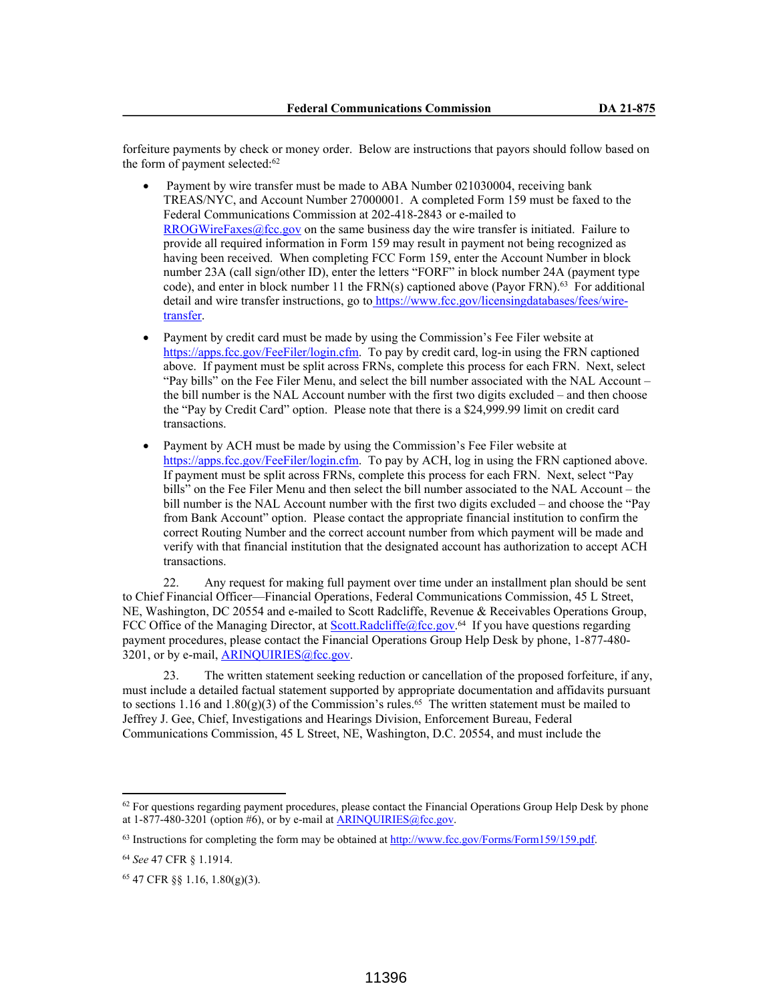forfeiture payments by check or money order. Below are instructions that payors should follow based on the form of payment selected:<sup>62</sup>

- Payment by wire transfer must be made to ABA Number 021030004, receiving bank TREAS/NYC, and Account Number 27000001. A completed Form 159 must be faxed to the Federal Communications Commission at 202-418-2843 or e-mailed to RROGWireFaxes@fcc.gov on the same business day the wire transfer is initiated. Failure to provide all required information in Form 159 may result in payment not being recognized as having been received. When completing FCC Form 159, enter the Account Number in block number 23A (call sign/other ID), enter the letters "FORF" in block number 24A (payment type code), and enter in block number 11 the  $FRN(s)$  captioned above (Payor FRN).<sup>63</sup> For additional detail and wire transfer instructions, go to https://www.fcc.gov/licensingdatabases/fees/wiretransfer.
- Payment by credit card must be made by using the Commission's Fee Filer website at https://apps.fcc.gov/FeeFiler/login.cfm. To pay by credit card, log-in using the FRN captioned above. If payment must be split across FRNs, complete this process for each FRN. Next, select "Pay bills" on the Fee Filer Menu, and select the bill number associated with the NAL Account – the bill number is the NAL Account number with the first two digits excluded – and then choose the "Pay by Credit Card" option. Please note that there is a \$24,999.99 limit on credit card transactions.
- Payment by ACH must be made by using the Commission's Fee Filer website at https://apps.fcc.gov/FeeFiler/login.cfm. To pay by ACH, log in using the FRN captioned above. If payment must be split across FRNs, complete this process for each FRN. Next, select "Pay bills" on the Fee Filer Menu and then select the bill number associated to the NAL Account – the bill number is the NAL Account number with the first two digits excluded – and choose the "Pay from Bank Account" option. Please contact the appropriate financial institution to confirm the correct Routing Number and the correct account number from which payment will be made and verify with that financial institution that the designated account has authorization to accept ACH transactions.

22. Any request for making full payment over time under an installment plan should be sent to Chief Financial Officer—Financial Operations, Federal Communications Commission, 45 L Street, NE, Washington, DC 20554 and e-mailed to Scott Radcliffe, Revenue & Receivables Operations Group, FCC Office of the Managing Director, at  $Scott.Radeliffe@fcc.gov.<sup>64</sup>$  If you have questions regarding</u> payment procedures, please contact the Financial Operations Group Help Desk by phone, 1-877-480- 3201, or by e-mail, ARINQUIRIES@fcc.gov.

23. The written statement seeking reduction or cancellation of the proposed forfeiture, if any, must include a detailed factual statement supported by appropriate documentation and affidavits pursuant to sections 1.16 and 1.80(g)(3) of the Commission's rules.<sup>65</sup> The written statement must be mailed to Jeffrey J. Gee, Chief, Investigations and Hearings Division, Enforcement Bureau, Federal Communications Commission, 45 L Street, NE, Washington, D.C. 20554, and must include the

<sup>&</sup>lt;sup>62</sup> For questions regarding payment procedures, please contact the Financial Operations Group Help Desk by phone at  $1-877-480-3201$  (option #6), or by e-mail at  $ARINQUIRIES@$  fcc.gov.

 $63$  Instructions for completing the form may be obtained at  $\frac{http://www.fcc.gov/Forms/Form159/159.pdf}{http://www.fcc.gov/Form159/159.pdf}$ .

<sup>64</sup> *See* 47 CFR § 1.1914.

<sup>65</sup> 47 CFR §§ 1.16, 1.80(g)(3).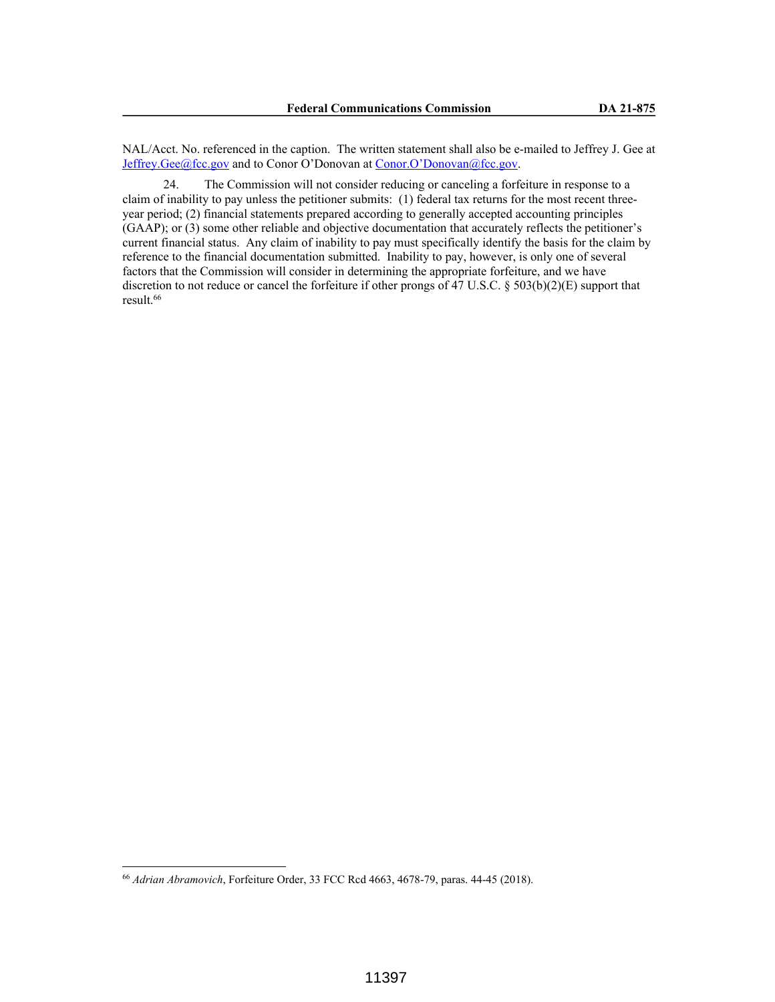NAL/Acct. No. referenced in the caption. The written statement shall also be e-mailed to Jeffrey J. Gee at Jeffrey.Gee@fcc.gov and to Conor O'Donovan at Conor.O'Donovan@fcc.gov.

24. The Commission will not consider reducing or canceling a forfeiture in response to a claim of inability to pay unless the petitioner submits: (1) federal tax returns for the most recent threeyear period; (2) financial statements prepared according to generally accepted accounting principles (GAAP); or (3) some other reliable and objective documentation that accurately reflects the petitioner's current financial status. Any claim of inability to pay must specifically identify the basis for the claim by reference to the financial documentation submitted. Inability to pay, however, is only one of several factors that the Commission will consider in determining the appropriate forfeiture, and we have discretion to not reduce or cancel the forfeiture if other prongs of 47 U.S.C. § 503(b)(2)(E) support that result.<sup>66</sup>

<sup>66</sup> *Adrian Abramovich*, Forfeiture Order, 33 FCC Rcd 4663, 4678-79, paras. 44-45 (2018).